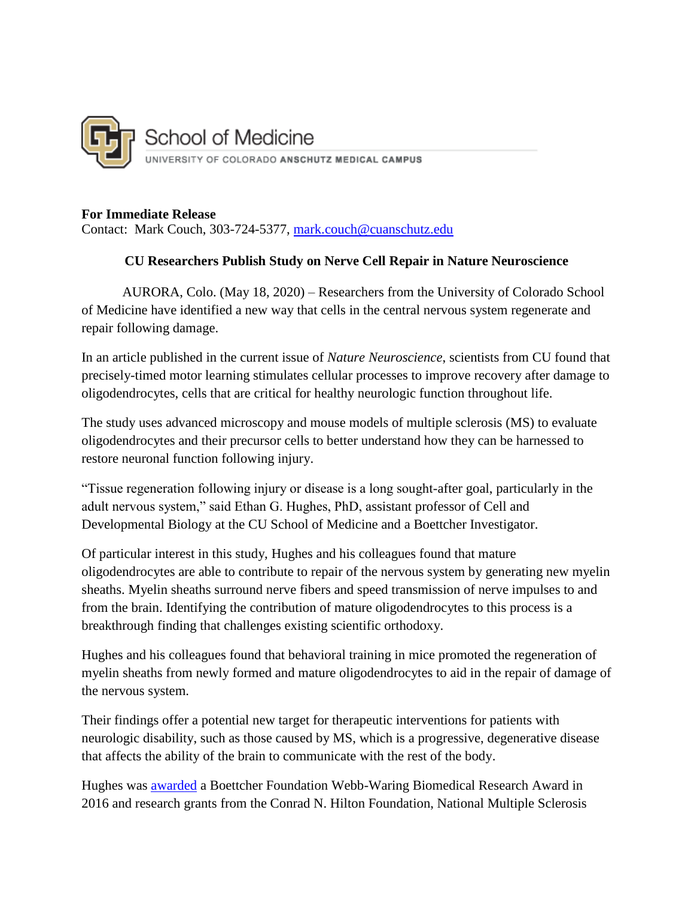

## **For Immediate Release**

Contact: Mark Couch, 303-724-5377, [mark.couch@cuanschutz.edu](mailto:mark.couch@cuanschutz.edu)

## **CU Researchers Publish Study on Nerve Cell Repair in Nature Neuroscience**

AURORA, Colo. (May 18, 2020) – Researchers from the University of Colorado School of Medicine have identified a new way that cells in the central nervous system regenerate and repair following damage.

In an article published in the current issue of *Nature Neuroscience*, scientists from CU found that precisely-timed motor learning stimulates cellular processes to improve recovery after damage to oligodendrocytes, cells that are critical for healthy neurologic function throughout life.

The study uses advanced microscopy and mouse models of multiple sclerosis (MS) to evaluate oligodendrocytes and their precursor cells to better understand how they can be harnessed to restore neuronal function following injury.

"Tissue regeneration following injury or disease is a long sought-after goal, particularly in the adult nervous system," said Ethan G. Hughes, PhD, assistant professor of Cell and Developmental Biology at the CU School of Medicine and a Boettcher Investigator.

Of particular interest in this study, Hughes and his colleagues found that mature oligodendrocytes are able to contribute to repair of the nervous system by generating new myelin sheaths. Myelin sheaths surround nerve fibers and speed transmission of nerve impulses to and from the brain. Identifying the contribution of mature oligodendrocytes to this process is a breakthrough finding that challenges existing scientific orthodoxy.

Hughes and his colleagues found that behavioral training in mice promoted the regeneration of myelin sheaths from newly formed and mature oligodendrocytes to aid in the repair of damage of the nervous system.

Their findings offer a potential new target for therapeutic interventions for patients with neurologic disability, such as those caused by MS, which is a progressive, degenerative disease that affects the ability of the brain to communicate with the rest of the body.

Hughes was [awarded](https://boettcherfoundation.org/wp-content/uploads/2016/07/Hughes.Ethan_.2016.Profile.pdf) a Boettcher Foundation Webb-Waring Biomedical Research Award in 2016 and research grants from the Conrad N. Hilton Foundation, National Multiple Sclerosis